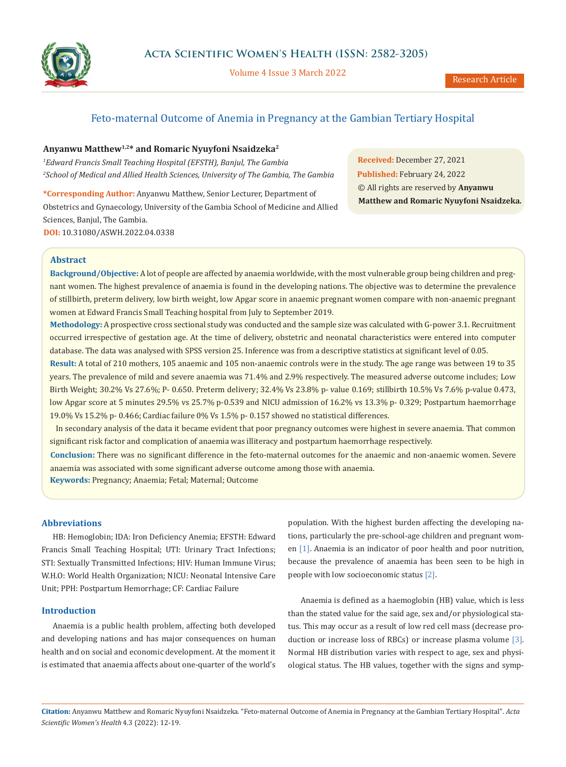

Volume 4 Issue 3 March 2022

# Feto-maternal Outcome of Anemia in Pregnancy at the Gambian Tertiary Hospital

# **Anyanwu Matthew1,2\* and Romaric Nyuyfoni Nsaidzeka<sup>2</sup>**

*<sup>1</sup>Edward Francis Small Teaching Hospital (EFSTH), Banjul, The Gambia <sup>2</sup>School of Medical and Allied Health Sciences, University of The Gambia, The Gambia*

**\*Corresponding Author:** Anyanwu Matthew, Senior Lecturer, Department of Obstetrics and Gynaecology, University of the Gambia School of Medicine and Allied Sciences, Banjul, The Gambia. **DOI:** [10.31080/ASWH.2022.04.033](https://actascientific.com/ASWH/pdf/ASWH-04-0338.pdf)8

**Received:** December 27, 2021 **Published:** February 24, 2022 © All rights are reserved by **Anyanwu Matthew and Romaric Nyuyfoni Nsaidzeka***.*

## **Abstract**

**Background/Objective:** A lot of people are affected by anaemia worldwide, with the most vulnerable group being children and pregnant women. The highest prevalence of anaemia is found in the developing nations. The objective was to determine the prevalence of stillbirth, preterm delivery, low birth weight, low Apgar score in anaemic pregnant women compare with non-anaemic pregnant women at Edward Francis Small Teaching hospital from July to September 2019.

**Methodology:** A prospective cross sectional study was conducted and the sample size was calculated with G-power 3.1. Recruitment occurred irrespective of gestation age. At the time of delivery, obstetric and neonatal characteristics were entered into computer database. The data was analysed with SPSS version 25. Inference was from a descriptive statistics at significant level of 0.05.

**Result:** A total of 210 mothers, 105 anaemic and 105 non-anaemic controls were in the study. The age range was between 19 to 35 years. The prevalence of mild and severe anaemia was 71.4% and 2.9% respectively. The measured adverse outcome includes; Low Birth Weight; 30.2% Vs 27.6%; P- 0.650. Preterm delivery; 32.4% Vs 23.8% p- value 0.169; stillbirth 10.5% Vs 7.6% p-value 0.473, low Apgar score at 5 minutes 29.5% vs 25.7% p-0.539 and NICU admission of 16.2% vs 13.3% p-0.329; Postpartum haemorrhage 19.0% Vs 15.2% p- 0.466; Cardiac failure 0% Vs 1.5% p- 0.157 showed no statistical differences.

 In secondary analysis of the data it became evident that poor pregnancy outcomes were highest in severe anaemia. That common significant risk factor and complication of anaemia was illiteracy and postpartum haemorrhage respectively.

**Conclusion:** There was no significant difference in the feto-maternal outcomes for the anaemic and non-anaemic women. Severe anaemia was associated with some significant adverse outcome among those with anaemia.

**Keywords:** Pregnancy; Anaemia; Fetal; Maternal; Outcome

# **Abbreviations**

HB: Hemoglobin; IDA: Iron Deficiency Anemia; EFSTH: Edward Francis Small Teaching Hospital; UTI: Urinary Tract Infections; STI: Sextually Transmitted Infections; HIV: Human Immune Virus; W.H.O: World Health Organization; NICU: Neonatal Intensive Care Unit; PPH: Postpartum Hemorrhage; CF: Cardiac Failure

#### **Introduction**

Anaemia is a public health problem, affecting both developed and developing nations and has major consequences on human health and on social and economic development. At the moment it is estimated that anaemia affects about one-quarter of the world's population. With the highest burden affecting the developing nations, particularly the pre-school-age children and pregnant women [1]. Anaemia is an indicator of poor health and poor nutrition, because the prevalence of anaemia has been seen to be high in people with low socioeconomic status [2].

Anaemia is defined as a haemoglobin (HB) value, which is less than the stated value for the said age, sex and/or physiological status. This may occur as a result of low red cell mass (decrease production or increase loss of RBCs) or increase plasma volume [3]. Normal HB distribution varies with respect to age, sex and physiological status. The HB values, together with the signs and symp-

**Citation:** Anyanwu Matthew and Romaric Nyuyfoni Nsaidzeka*.* "Feto-maternal Outcome of Anemia in Pregnancy at the Gambian Tertiary Hospital". *Acta Scientific Women's Health* 4.3 (2022): 12-19.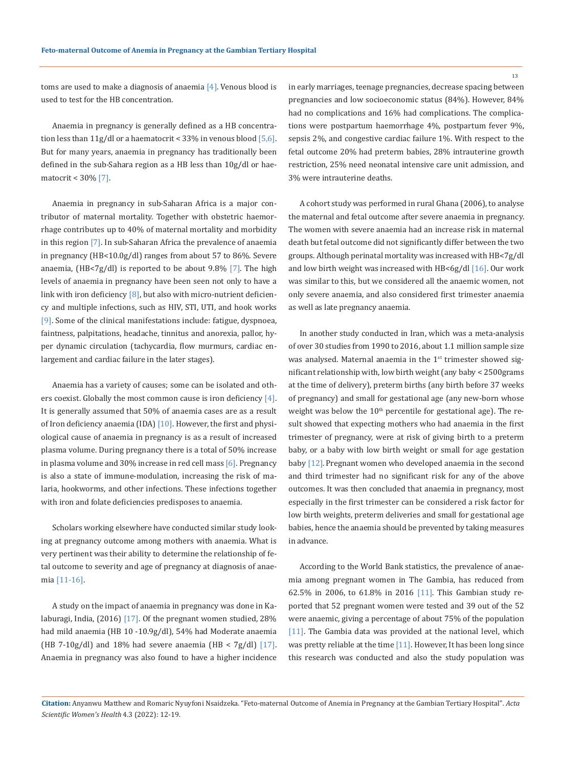toms are used to make a diagnosis of anaemia [4]. Venous blood is used to test for the HB concentration.

Anaemia in pregnancy is generally defined as a HB concentration less than  $11g/d$ l or a haematocrit < 33% in venous blood [5,6]. But for many years, anaemia in pregnancy has traditionally been defined in the sub-Sahara region as a HB less than 10g/dl or haematocrit < 30% [7].

Anaemia in pregnancy in sub-Saharan Africa is a major contributor of maternal mortality. Together with obstetric haemorrhage contributes up to 40% of maternal mortality and morbidity in this region [7]. In sub-Saharan Africa the prevalence of anaemia in pregnancy (HB<10.0g/dl) ranges from about 57 to 86%. Severe anaemia,  $(HB < 7g/dl)$  is reported to be about 9.8% [7]. The high levels of anaemia in pregnancy have been seen not only to have a link with iron deficiency  $[8]$ , but also with micro-nutrient deficiency and multiple infections, such as HIV, STI, UTI, and hook works [9]. Some of the clinical manifestations include: fatigue, dyspnoea, faintness, palpitations, headache, tinnitus and anorexia, pallor, hyper dynamic circulation (tachycardia, flow murmurs, cardiac enlargement and cardiac failure in the later stages).

Anaemia has a variety of causes; some can be isolated and others coexist. Globally the most common cause is iron deficiency [4]. It is generally assumed that 50% of anaemia cases are as a result of Iron deficiency anaemia (IDA)  $[10]$ . However, the first and physiological cause of anaemia in pregnancy is as a result of increased plasma volume. During pregnancy there is a total of 50% increase in plasma volume and 30% increase in red cell mass [6]. Pregnancy is also a state of immune-modulation, increasing the risk of malaria, hookworms, and other infections. These infections together with iron and folate deficiencies predisposes to anaemia.

Scholars working elsewhere have conducted similar study looking at pregnancy outcome among mothers with anaemia. What is very pertinent was their ability to determine the relationship of fetal outcome to severity and age of pregnancy at diagnosis of anaemia [11-16].

A study on the impact of anaemia in pregnancy was done in Kalaburagi, India, (2016) [17]. Of the pregnant women studied, 28% had mild anaemia (HB 10 -10.9g/dl), 54% had Moderate anaemia (HB 7-10g/dl) and 18% had severe anaemia (HB < 7g/dl) [17]. Anaemia in pregnancy was also found to have a higher incidence in early marriages, teenage pregnancies, decrease spacing between pregnancies and low socioeconomic status (84%). However, 84% had no complications and 16% had complications. The complications were postpartum haemorrhage 4%, postpartum fever 9%, sepsis 2%, and congestive cardiac failure 1%. With respect to the fetal outcome 20% had preterm babies, 28% intrauterine growth restriction, 25% need neonatal intensive care unit admission, and 3% were intrauterine deaths.

A cohort study was performed in rural Ghana (2006), to analyse the maternal and fetal outcome after severe anaemia in pregnancy. The women with severe anaemia had an increase risk in maternal death but fetal outcome did not significantly differ between the two groups. Although perinatal mortality was increased with HB<7g/dl and low birth weight was increased with HB<6g/dl  $[16]$ . Our work was similar to this, but we considered all the anaemic women, not only severe anaemia, and also considered first trimester anaemia as well as late pregnancy anaemia.

In another study conducted in Iran, which was a meta-analysis of over 30 studies from 1990 to 2016, about 1.1 million sample size was analysed. Maternal anaemia in the 1<sup>st</sup> trimester showed significant relationship with, low birth weight (any baby < 2500grams at the time of delivery), preterm births (any birth before 37 weeks of pregnancy) and small for gestational age (any new-born whose weight was below the  $10<sup>th</sup>$  percentile for gestational age). The result showed that expecting mothers who had anaemia in the first trimester of pregnancy, were at risk of giving birth to a preterm baby, or a baby with low birth weight or small for age gestation baby [12]. Pregnant women who developed anaemia in the second and third trimester had no significant risk for any of the above outcomes. It was then concluded that anaemia in pregnancy, most especially in the first trimester can be considered a risk factor for low birth weights, preterm deliveries and small for gestational age babies, hence the anaemia should be prevented by taking measures in advance.

According to the World Bank statistics, the prevalence of anaemia among pregnant women in The Gambia, has reduced from 62.5% in 2006, to 61.8% in 2016 [11]. This Gambian study reported that 52 pregnant women were tested and 39 out of the 52 were anaemic, giving a percentage of about 75% of the population [11]. The Gambia data was provided at the national level, which was pretty reliable at the time [11]. However, It has been long since this research was conducted and also the study population was

**Citation:** Anyanwu Matthew and Romaric Nyuyfoni Nsaidzeka*.* "Feto-maternal Outcome of Anemia in Pregnancy at the Gambian Tertiary Hospital". *Acta Scientific Women's Health* 4.3 (2022): 12-19.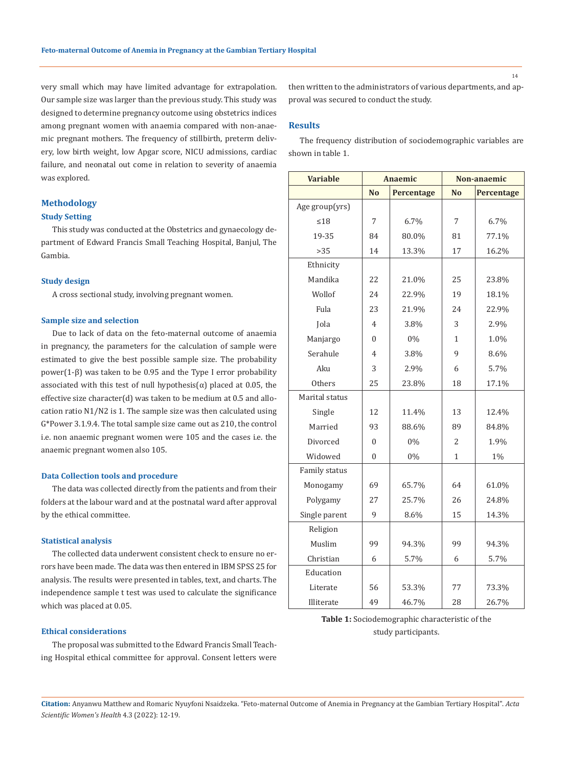very small which may have limited advantage for extrapolation. Our sample size was larger than the previous study. This study was designed to determine pregnancy outcome using obstetrics indices among pregnant women with anaemia compared with non-anaemic pregnant mothers. The frequency of stillbirth, preterm delivery, low birth weight, low Apgar score, NICU admissions, cardiac failure, and neonatal out come in relation to severity of anaemia was explored.

# **Methodology**

### **Study Setting**

This study was conducted at the Obstetrics and gynaecology department of Edward Francis Small Teaching Hospital, Banjul, The Gambia.

### **Study design**

A cross sectional study, involving pregnant women.

### **Sample size and selection**

Due to lack of data on the feto-maternal outcome of anaemia in pregnancy, the parameters for the calculation of sample were estimated to give the best possible sample size. The probability power(1-β) was taken to be 0.95 and the Type I error probability associated with this test of null hypothesis $(\alpha)$  placed at 0.05, the effective size character(d) was taken to be medium at 0.5 and allocation ratio N1/N2 is 1. The sample size was then calculated using G\*Power 3.1.9.4. The total sample size came out as 210, the control i.e. non anaemic pregnant women were 105 and the cases i.e. the anaemic pregnant women also 105.

### **Data Collection tools and procedure**

The data was collected directly from the patients and from their folders at the labour ward and at the postnatal ward after approval by the ethical committee.

#### **Statistical analysis**

The collected data underwent consistent check to ensure no errors have been made. The data was then entered in IBM SPSS 25 for analysis. The results were presented in tables, text, and charts. The independence sample t test was used to calculate the significance which was placed at 0.05.

#### **Ethical considerations**

The proposal was submitted to the Edward Francis Small Teaching Hospital ethical committee for approval. Consent letters were then written to the administrators of various departments, and approval was secured to conduct the study.

## **Results**

The frequency distribution of sociodemographic variables are shown in table 1.

| <b>Variable</b> | Anaemic        |                   | Non-anaemic    |                   |  |
|-----------------|----------------|-------------------|----------------|-------------------|--|
|                 | N <sub>0</sub> | <b>Percentage</b> | <b>No</b>      | <b>Percentage</b> |  |
| Age group(yrs)  |                |                   |                |                   |  |
| $\leq 18$       | 7              | 6.7%              | 7              | 6.7%              |  |
| 19-35           | 84             | 80.0%             | 81             | 77.1%             |  |
| >35             | 14             | 13.3%             | 17             | 16.2%             |  |
| Ethnicity       |                |                   |                |                   |  |
| Mandika         | 22             | 21.0%             | 25             | 23.8%             |  |
| Wollof          | 24             | 22.9%             | 19             | 18.1%             |  |
| Fula            | 23             | 21.9%             | 24             | 22.9%             |  |
| Jola            | $\overline{4}$ | 3.8%              | 3              | 2.9%              |  |
| Manjargo        | $\theta$       | $0\%$             | $\mathbf{1}$   | 1.0%              |  |
| Serahule        | $\overline{4}$ | 3.8%              | 9              | 8.6%              |  |
| Aku             | 3              | 2.9%              | 6              | 5.7%              |  |
| Others          | 25             | 23.8%             | 18             | 17.1%             |  |
| Marital status  |                |                   |                |                   |  |
| Single          | 12             | 11.4%             | 13             | 12.4%             |  |
| Married         | 93             | 88.6%             | 89             | 84.8%             |  |
| Divorced        | $\theta$       | 0%                | $\overline{c}$ | 1.9%              |  |
| Widowed         | $\Omega$       | $0\%$             | 1              | $1\%$             |  |
| Family status   |                |                   |                |                   |  |
| Monogamy        | 69             | 65.7%             | 64             | 61.0%             |  |
| Polygamy        | 27             | 25.7%             | 26             | 24.8%             |  |
| Single parent   | 9              | 8.6%              | 15             | 14.3%             |  |
| Religion        |                |                   |                |                   |  |
| Muslim          | 99             | 94.3%             | 99             | 94.3%             |  |
| Christian       | 6              | 5.7%              | 6              | 5.7%              |  |
| Education       |                |                   |                |                   |  |
| Literate        | 56             | 53.3%             | 77             | 73.3%             |  |
| Illiterate      | 49             | 46.7%             | 28             | 26.7%             |  |

# **Table 1:** Sociodemographic characteristic of the study participants.

**Citation:** Anyanwu Matthew and Romaric Nyuyfoni Nsaidzeka*.* "Feto-maternal Outcome of Anemia in Pregnancy at the Gambian Tertiary Hospital". *Acta Scientific Women's Health* 4.3 (2022): 12-19.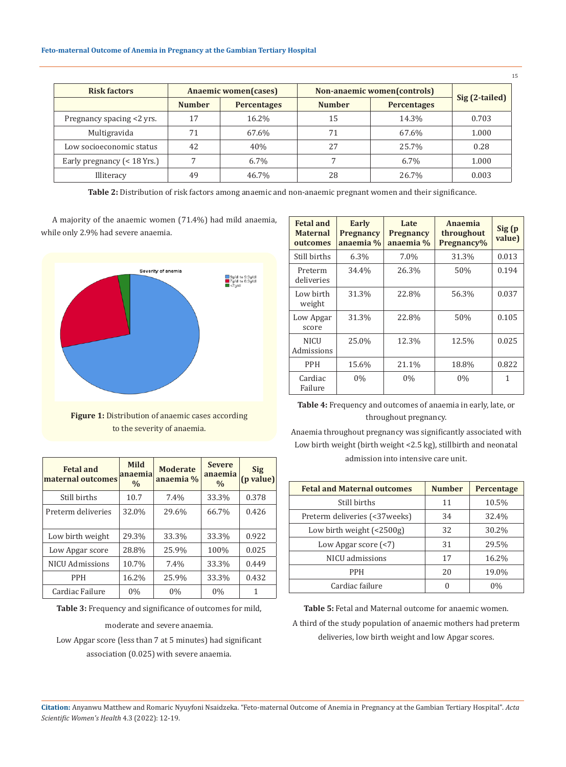| <b>Risk factors</b>           | Anaemic women(cases) |                    | Non-anaemic women(controls) |                    |                |
|-------------------------------|----------------------|--------------------|-----------------------------|--------------------|----------------|
|                               | <b>Number</b>        | <b>Percentages</b> | <b>Number</b>               | <b>Percentages</b> | Sig (2-tailed) |
| Pregnancy spacing <2 yrs.     | 17                   | 16.2%              | 15                          | 14.3%              | 0.703          |
| Multigravida                  | 71                   | 67.6%              | 71                          | 67.6%              | 1.000          |
| Low socioeconomic status      | 42                   | 40%                | 27                          | 25.7%              | 0.28           |
| Early pregnancy $(< 18$ Yrs.) |                      | 6.7%               |                             | $6.7\%$            | 1.000          |
| Illiteracy                    | 49                   | 46.7%              | 28                          | 26.7%              | 0.003          |

**Table 2:** Distribution of risk factors among anaemic and non-anaemic pregnant women and their significance.

A majority of the anaemic women (71.4%) had mild anaemia, while only 2.9% had severe anaemia.



**Figure 1:** Distribution of anaemic cases according to the severity of anaemia.

**Moderate anaemia %**

Still births 10.7 7.4% 33.3% 0.378 Preterm deliveries 32.0% 29.6% 66.7% 0.426

Low birth weight  $\begin{array}{|c|c|c|c|c|c|} \hline 29.3\% & 33.3\% & 33.3\% & 0.922 \hline \end{array}$ Low Apgar score | 28.8% | 25.9% | 100% | 0.025 NICU Admissions 10.7% 7.4% 33.3% 0.449

**Severe anaemia %**

**Sig (p value)**

**Mild anaemia %**

**Fetal and maternal outcomes**

| <b>Fetal and</b><br><b>Maternal</b><br>outcomes | <b>Early</b><br><b>Pregnancy</b><br>anaemia % | Late<br>Pregnancy<br>anaemia % | Anaemia<br>throughout<br>Pregnancy% | Sig (p<br>value) |
|-------------------------------------------------|-----------------------------------------------|--------------------------------|-------------------------------------|------------------|
| Still births                                    | 6.3%                                          | 7.0%                           | 31.3%                               | 0.013            |
| Preterm<br>deliveries                           | 34.4%                                         | 26.3%                          | 50%                                 | 0.194            |
| Low birth<br>weight                             | 31.3%                                         | 22.8%                          | 56.3%                               | 0.037            |
| Low Apgar<br>score                              | 31.3%                                         | 22.8%                          | 50%                                 | 0.105            |
| <b>NICU</b><br>Admissions                       | 25.0%                                         | 12.3%                          | 12.5%                               | 0.025            |
| <b>PPH</b>                                      | 15.6%                                         | 21.1%                          | 18.8%                               | 0.822            |
| Cardiac<br>Failure                              | $0\%$                                         | $0\%$                          | 0%                                  | 1                |

**Table 4:** Frequency and outcomes of anaemia in early, late, or throughout pregnancy.

Anaemia throughout pregnancy was significantly associated with Low birth weight (birth weight <2.5 kg), stillbirth and neonatal admission into intensive care unit.

| <b>Fetal and Maternal outcomes</b>   | <b>Number</b> | Percentage |
|--------------------------------------|---------------|------------|
| Still births                         | 11            | 10.5%      |
| Preterm deliveries (<37weeks)        | 34            | 32.4%      |
| Low birth weight $($ < 2500g)        | 32            | 30.2%      |
| Low Apgar score $\left( < 7 \right)$ | 31            | 29.5%      |
| NICU admissions                      | 17            | 16.2%      |
| <b>PPH</b>                           | 20            | 19.0%      |
| Cardiac failure                      | 0             | $0\%$      |

**Table 3:** Frequency and significance of outcomes for mild,

moderate and severe anaemia.

PPH 16.2% 25.9% 33.3% 0.432 Cardiac Failure  $\begin{array}{|c|c|c|c|c|} \hline 0\% & 0\% & 0\% \hline \end{array}$  1

Low Apgar score (less than 7 at 5 minutes) had significant association (0.025) with severe anaemia.

**Table 5:** Fetal and Maternal outcome for anaemic women. A third of the study population of anaemic mothers had preterm

deliveries, low birth weight and low Apgar scores.

**Citation:** Anyanwu Matthew and Romaric Nyuyfoni Nsaidzeka*.* "Feto-maternal Outcome of Anemia in Pregnancy at the Gambian Tertiary Hospital". *Acta Scientific Women's Health* 4.3 (2022): 12-19.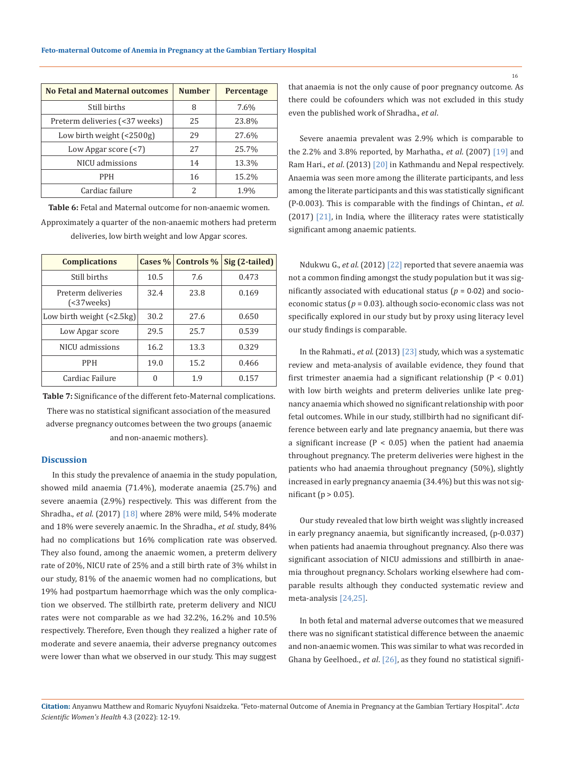| <b>No Fetal and Maternal outcomes</b>             | <b>Number</b> | <b>Percentage</b> |
|---------------------------------------------------|---------------|-------------------|
| Still births                                      | 8             | 7.6%              |
| Preterm deliveries (<37 weeks)                    | 25            | 23.8%             |
| Low birth weight $\left( < 2500 \text{g} \right)$ | 29            | 27.6%             |
| Low Apgar score $(\leq 7)$                        | 27            | 25.7%             |
| NICU admissions                                   | 14            | 13.3%             |
| <b>PPH</b>                                        | 16            | 15.2%             |
| Cardiac failure                                   | 2             | 1.9%              |

**Table 6:** Fetal and Maternal outcome for non-anaemic women. Approximately a quarter of the non-anaemic mothers had preterm deliveries, low birth weight and low Apgar scores.

| <b>Complications</b>               |      | Cases $\%$ Controls $\%$ | Sig (2-tailed) |
|------------------------------------|------|--------------------------|----------------|
| Still births                       | 10.5 | 7.6                      | 0.473          |
| Preterm deliveries<br>$(37 weeks)$ | 32.4 | 23.8                     | 0.169          |
| Low birth weight $\left($ <2.5 kg) | 30.2 | 27.6                     | 0.650          |
| Low Apgar score                    | 29.5 | 25.7                     | 0.539          |
| NICU admissions                    | 16.2 | 13.3                     | 0.329          |
| <b>PPH</b>                         | 19.0 | 15.2                     | 0.466          |
| Cardiac Failure                    | 0    | 1.9                      | 0.157          |

**Table 7:** Significance of the different feto-Maternal complications. There was no statistical significant association of the measured adverse pregnancy outcomes between the two groups (anaemic and non-anaemic mothers).

### **Discussion**

In this study the prevalence of anaemia in the study population, showed mild anaemia (71.4%), moderate anaemia (25.7%) and severe anaemia (2.9%) respectively. This was different from the Shradha., *et al*. (2017) [18] where 28% were mild, 54% moderate and 18% were severely anaemic. In the Shradha., *et al*. study, 84% had no complications but 16% complication rate was observed. They also found, among the anaemic women, a preterm delivery rate of 20%, NICU rate of 25% and a still birth rate of 3% whilst in our study, 81% of the anaemic women had no complications, but 19% had postpartum haemorrhage which was the only complication we observed. The stillbirth rate, preterm delivery and NICU rates were not comparable as we had 32.2%, 16.2% and 10.5% respectively. Therefore, Even though they realized a higher rate of moderate and severe anaemia, their adverse pregnancy outcomes were lower than what we observed in our study. This may suggest

that anaemia is not the only cause of poor pregnancy outcome. As there could be cofounders which was not excluded in this study even the published work of Shradha., *et al*.

Severe anaemia prevalent was 2.9% which is comparable to the 2.2% and 3.8% reported, by Marhatha., *et al*. (2007) [19] and Ram Hari., *et al*. (2013) [20] in Kathmandu and Nepal respectively. Anaemia was seen more among the illiterate participants, and less among the literate participants and this was statistically significant (P-0.003). This is comparable with the findings of Chintan., *et al*. (2017) [21], in India, where the illiteracy rates were statistically significant among anaemic patients.

Ndukwu G., *et al*. (2012) [22] reported that severe anaemia was not a common finding amongst the study population but it was significantly associated with educational status  $(p = 0.02)$  and socioeconomic status (*p* = 0.03). although socio-economic class was not specifically explored in our study but by proxy using literacy level our study findings is comparable.

In the Rahmati., *et al*. (2013) [23] study, which was a systematic review and meta-analysis of available evidence, they found that first trimester anaemia had a significant relationship (P < 0.01) with low birth weights and preterm deliveries unlike late pregnancy anaemia which showed no significant relationship with poor fetal outcomes. While in our study, stillbirth had no significant difference between early and late pregnancy anaemia, but there was a significant increase ( $P < 0.05$ ) when the patient had anaemia throughout pregnancy. The preterm deliveries were highest in the patients who had anaemia throughout pregnancy (50%), slightly increased in early pregnancy anaemia (34.4%) but this was not significant ( $p > 0.05$ ).

Our study revealed that low birth weight was slightly increased in early pregnancy anaemia, but significantly increased, (p-0.037) when patients had anaemia throughout pregnancy. Also there was significant association of NICU admissions and stillbirth in anaemia throughout pregnancy. Scholars working elsewhere had comparable results although they conducted systematic review and meta-analysis [24,25].

In both fetal and maternal adverse outcomes that we measured there was no significant statistical difference between the anaemic and non-anaemic women. This was similar to what was recorded in Ghana by Geelhoed., *et al*. [26], as they found no statistical signifi-

**Citation:** Anyanwu Matthew and Romaric Nyuyfoni Nsaidzeka*.* "Feto-maternal Outcome of Anemia in Pregnancy at the Gambian Tertiary Hospital". *Acta Scientific Women's Health* 4.3 (2022): 12-19.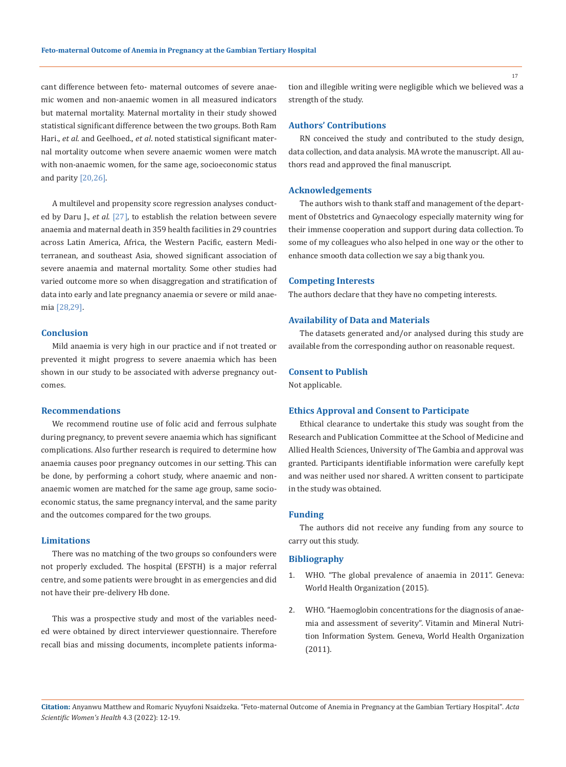cant difference between feto- maternal outcomes of severe anaemic women and non-anaemic women in all measured indicators but maternal mortality. Maternal mortality in their study showed statistical significant difference between the two groups. Both Ram Hari., *et al*. and Geelhoed., *et al*. noted statistical significant maternal mortality outcome when severe anaemic women were match with non-anaemic women, for the same age, socioeconomic status and parity [20,26].

A multilevel and propensity score regression analyses conducted by Daru J., *et al*. [27], to establish the relation between severe anaemia and maternal death in 359 health facilities in 29 countries across Latin America, Africa, the Western Pacific, eastern Mediterranean, and southeast Asia, showed significant association of severe anaemia and maternal mortality. Some other studies had varied outcome more so when disaggregation and stratification of data into early and late pregnancy anaemia or severe or mild anaemia [28,29].

## **Conclusion**

Mild anaemia is very high in our practice and if not treated or prevented it might progress to severe anaemia which has been shown in our study to be associated with adverse pregnancy outcomes.

#### **Recommendations**

We recommend routine use of folic acid and ferrous sulphate during pregnancy, to prevent severe anaemia which has significant complications. Also further research is required to determine how anaemia causes poor pregnancy outcomes in our setting. This can be done, by performing a cohort study, where anaemic and nonanaemic women are matched for the same age group, same socioeconomic status, the same pregnancy interval, and the same parity and the outcomes compared for the two groups.

## **Limitations**

There was no matching of the two groups so confounders were not properly excluded. The hospital (EFSTH) is a major referral centre, and some patients were brought in as emergencies and did not have their pre-delivery Hb done.

This was a prospective study and most of the variables needed were obtained by direct interviewer questionnaire. Therefore recall bias and missing documents, incomplete patients information and illegible writing were negligible which we believed was a strength of the study.

## **Authors' Contributions**

RN conceived the study and contributed to the study design, data collection, and data analysis. MA wrote the manuscript. All authors read and approved the final manuscript.

#### **Acknowledgements**

The authors wish to thank staff and management of the department of Obstetrics and Gynaecology especially maternity wing for their immense cooperation and support during data collection. To some of my colleagues who also helped in one way or the other to enhance smooth data collection we say a big thank you.

#### **Competing Interests**

The authors declare that they have no competing interests.

#### **Availability of Data and Materials**

The datasets generated and/or analysed during this study are available from the corresponding author on reasonable request.

### **Consent to Publish**

Not applicable.

#### **Ethics Approval and Consent to Participate**

Ethical clearance to undertake this study was sought from the Research and Publication Committee at the School of Medicine and Allied Health Sciences, University of The Gambia and approval was granted. Participants identifiable information were carefully kept and was neither used nor shared. A written consent to participate in the study was obtained.

#### **Funding**

The authors did not receive any funding from any source to carry out this study.

## **Bibliography**

- 1. WHO. "The global prevalence of anaemia in 2011". Geneva: World Health Organization (2015).
- 2. [WHO. "Haemoglobin concentrations for the diagnosis of anae](http://www.who.int/vmnis/indicators/haemoglobin.pdf)[mia and assessment of severity". Vitamin and Mineral Nutri](http://www.who.int/vmnis/indicators/haemoglobin.pdf)[tion Information System. Geneva, World Health Organization](http://www.who.int/vmnis/indicators/haemoglobin.pdf)  [\(2011\).](http://www.who.int/vmnis/indicators/haemoglobin.pdf)

**Citation:** Anyanwu Matthew and Romaric Nyuyfoni Nsaidzeka*.* "Feto-maternal Outcome of Anemia in Pregnancy at the Gambian Tertiary Hospital". *Acta Scientific Women's Health* 4.3 (2022): 12-19.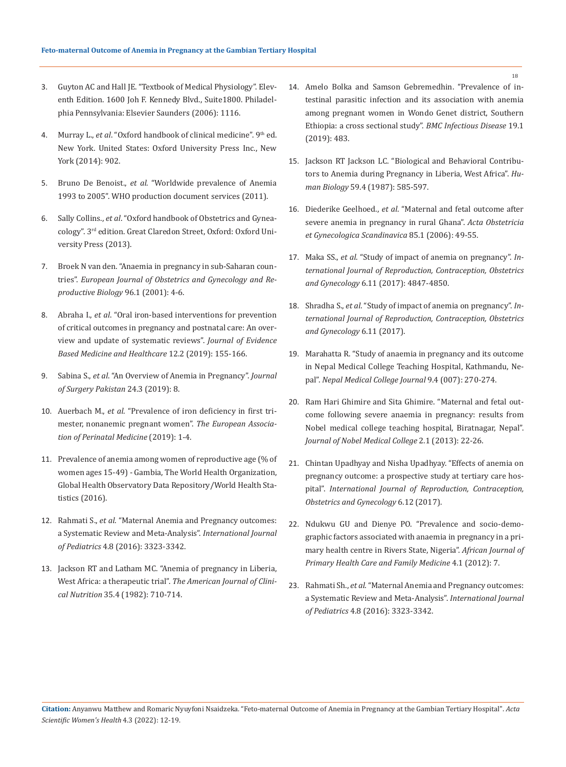- 3. Guyton AC and Hall JE. "Textbook of Medical Physiology". Eleventh Edition. 1600 Joh F. Kennedy Blvd., Suite1800. Philadelphia Pennsylvania: Elsevier Saunders (2006): 1116.
- 4. Murray L., *et al*. "Oxford handbook of clinical medicine". 9th ed. New York. United States: Oxford University Press Inc., New York (2014): 902.
- 5. Bruno De Benoist., *et al*. "Worldwide prevalence of Anemia 1993 to 2005". WHO production document services (2011).
- 6. Sally Collins., *et al*. "Oxford handbook of Obstetrics and Gyneacology". 3rd edition. Great Claredon Street, Oxford: Oxford University Press (2013).
- 7. [Broek N van den. "Anaemia in pregnancy in sub-Saharan coun](https://www.ejog.org/article/S0301-2115(00)00407-3/pdf)tries". *[European Journal of Obstetrics and Gynecology and Re](https://www.ejog.org/article/S0301-2115(00)00407-3/pdf)[productive Biology](https://www.ejog.org/article/S0301-2115(00)00407-3/pdf)* 96.1 (2001): 4-6.
- 8. Abraha I., *et al*[. "Oral iron-based interventions for prevention](https://pubmed.ncbi.nlm.nih.gov/31144465/)  [of critical outcomes in pregnancy and postnatal care: An over](https://pubmed.ncbi.nlm.nih.gov/31144465/)[view and update of systematic reviews".](https://pubmed.ncbi.nlm.nih.gov/31144465/) *Journal of Evidence [Based Medicine and Healthcare](https://pubmed.ncbi.nlm.nih.gov/31144465/)* 12.2 (2019): 155-166.
- 9. Sabina S., *et al*[. "An Overview of Anemia in Pregnancy".](http://www.jipbs.com/VolumeArticles/FullTextPDF/78_JIPBSV2I208.pdf) *Journal [of Surgery Pakistan](http://www.jipbs.com/VolumeArticles/FullTextPDF/78_JIPBSV2I208.pdf)* 24.3 (2019): 8.
- 10. Auerbach M., *et al*[. "Prevalence of iron deficiency in first tri](https://pubmed.ncbi.nlm.nih.gov/31154873/)[mester, nonanemic pregnant women".](https://pubmed.ncbi.nlm.nih.gov/31154873/) *The European Associa[tion of Perinatal Medicine](https://pubmed.ncbi.nlm.nih.gov/31154873/)* (2019): 1-4.
- 11. Prevalence of anemia among women of reproductive age (% of women ages 15-49) - Gambia, The World Health Organization, Global Health Observatory Data Repository/World Health Statistics (2016).
- 12. Rahmati S., *et al*[. "Maternal Anemia and Pregnancy outcomes:](https://pubmed.ncbi.nlm.nih.gov/26739036/)  [a Systematic Review and Meta-Analysis".](https://pubmed.ncbi.nlm.nih.gov/26739036/) *International Journal of Pediatrics* [4.8 \(2016\): 3323-3342.](https://pubmed.ncbi.nlm.nih.gov/26739036/)
- 13. [Jackson RT and Latham MC. "Anemia of pregnancy in Liberia,](https://pubmed.ncbi.nlm.nih.gov/7072624/)  West Africa: a therapeutic trial". *[The American Journal of Clini](https://pubmed.ncbi.nlm.nih.gov/7072624/)cal Nutrition* [35.4 \(1982\): 710-714.](https://pubmed.ncbi.nlm.nih.gov/7072624/)
- 14. [Amelo Bolka and Samson Gebremedhin. "Prevalence of in](https://bmcinfectdis.biomedcentral.com/articles/10.1186/s12879-019-4135-8)[testinal parasitic infection and its association with anemia](https://bmcinfectdis.biomedcentral.com/articles/10.1186/s12879-019-4135-8)  [among pregnant women in Wondo Genet district, Southern](https://bmcinfectdis.biomedcentral.com/articles/10.1186/s12879-019-4135-8)  [Ethiopia: a cross sectional study".](https://bmcinfectdis.biomedcentral.com/articles/10.1186/s12879-019-4135-8) *BMC Infectious Disease* 19.1 [\(2019\): 483.](https://bmcinfectdis.biomedcentral.com/articles/10.1186/s12879-019-4135-8)
- 15. [Jackson RT Jackson LC. "Biological and Behavioral Contribu](https://www.jstor.org/stable/41463914)[tors to Anemia during Pregnancy in Liberia, West Africa".](https://www.jstor.org/stable/41463914) *Human Biology* [59.4 \(1987\): 585-597.](https://www.jstor.org/stable/41463914)
- 16. Diederike Geelhoed., *et al*[. "Maternal and fetal outcome after](https://pubmed.ncbi.nlm.nih.gov/16521680/)  [severe anemia in pregnancy in rural Ghana".](https://pubmed.ncbi.nlm.nih.gov/16521680/) *Acta Obstetricia [et Gynecologica Scandinavica](https://pubmed.ncbi.nlm.nih.gov/16521680/)* 85.1 (2006): 49-55.
- 17. Maka SS., *et al*. "Study of impact of anemia on pregnancy". *International Journal of Reproduction, Contraception, Obstetrics and Gynecology* 6.11 (2017): 4847-4850.
- 18. Shradha S., *et al*. "Study of impact of anemia on pregnancy". *International Journal of Reproduction, Contraception, Obstetrics and Gynecology* 6.11 (2017).
- 19. Marahatta R. "Study of anaemia in pregnancy and its outcome in Nepal Medical College Teaching Hospital, Kathmandu, Nepal". *Nepal Medical College Journal* 9.4 (007): 270-274.
- 20. Ram Hari Ghimire and Sita Ghimire. "Maternal and fetal outcome following severe anaemia in pregnancy: results from Nobel medical college teaching hospital, Biratnagar, Nepal". *Journal of Nobel Medical College* 2.1 (2013): 22-26.
- 21. Chintan Upadhyay and Nisha Upadhyay. "Effects of anemia on pregnancy outcome: a prospective study at tertiary care hospital". *International Journal of Reproduction, Contraception, Obstetrics and Gynecology* 6.12 (2017).
- 22. Ndukwu GU and Dienye PO. "Prevalence and socio-demographic factors associated with anaemia in pregnancy in a primary health centre in Rivers State, Nigeria". *African Journal of Primary Health Care and Family Medicine* 4.1 (2012): 7.
- 23. Rahmati Sh., *et al*. "Maternal Anemia and Pregnancy outcomes: a Systematic Review and Meta-Analysis". *International Journal of Pediatrics* 4.8 (2016): 3323-3342.